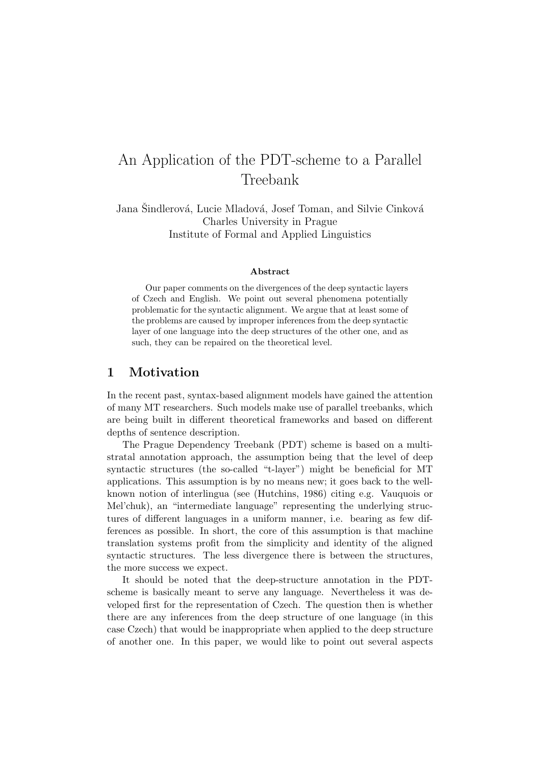# An Application of the PDT-scheme to a Parallel Treebank

Jana Sindlerová, Lucie Mladová, Josef Toman, and Silvie Cinková Charles University in Prague Institute of Formal and Applied Linguistics

#### Abstract

Our paper comments on the divergences of the deep syntactic layers of Czech and English. We point out several phenomena potentially problematic for the syntactic alignment. We argue that at least some of the problems are caused by improper inferences from the deep syntactic layer of one language into the deep structures of the other one, and as such, they can be repaired on the theoretical level.

## 1 Motivation

In the recent past, syntax-based alignment models have gained the attention of many MT researchers. Such models make use of parallel treebanks, which are being built in different theoretical frameworks and based on different depths of sentence description.

The Prague Dependency Treebank (PDT) scheme is based on a multistratal annotation approach, the assumption being that the level of deep syntactic structures (the so-called "t-layer") might be beneficial for MT applications. This assumption is by no means new; it goes back to the wellknown notion of interlingua (see (Hutchins, 1986) citing e.g. Vauquois or Mel'chuk), an "intermediate language" representing the underlying structures of different languages in a uniform manner, i.e. bearing as few differences as possible. In short, the core of this assumption is that machine translation systems profit from the simplicity and identity of the aligned syntactic structures. The less divergence there is between the structures, the more success we expect.

It should be noted that the deep-structure annotation in the PDTscheme is basically meant to serve any language. Nevertheless it was developed first for the representation of Czech. The question then is whether there are any inferences from the deep structure of one language (in this case Czech) that would be inappropriate when applied to the deep structure of another one. In this paper, we would like to point out several aspects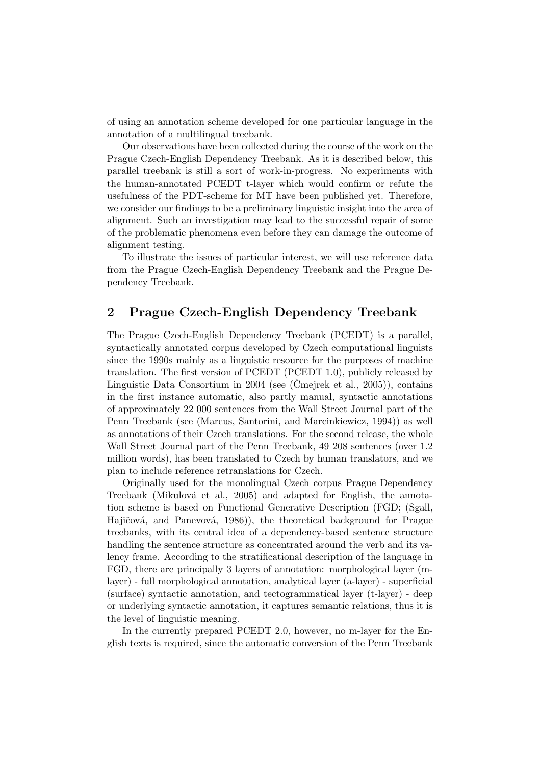of using an annotation scheme developed for one particular language in the annotation of a multilingual treebank.

Our observations have been collected during the course of the work on the Prague Czech-English Dependency Treebank. As it is described below, this parallel treebank is still a sort of work-in-progress. No experiments with the human-annotated PCEDT t-layer which would confirm or refute the usefulness of the PDT-scheme for MT have been published yet. Therefore, we consider our findings to be a preliminary linguistic insight into the area of alignment. Such an investigation may lead to the successful repair of some of the problematic phenomena even before they can damage the outcome of alignment testing.

To illustrate the issues of particular interest, we will use reference data from the Prague Czech-English Dependency Treebank and the Prague Dependency Treebank.

## 2 Prague Czech-English Dependency Treebank

The Prague Czech-English Dependency Treebank (PCEDT) is a parallel, syntactically annotated corpus developed by Czech computational linguists since the 1990s mainly as a linguistic resource for the purposes of machine translation. The first version of PCEDT (PCEDT 1.0), publicly released by Linguistic Data Consortium in 2004 (see (Cmeirek et al., 2005)), contains in the first instance automatic, also partly manual, syntactic annotations of approximately 22 000 sentences from the Wall Street Journal part of the Penn Treebank (see (Marcus, Santorini, and Marcinkiewicz, 1994)) as well as annotations of their Czech translations. For the second release, the whole Wall Street Journal part of the Penn Treebank, 49 208 sentences (over 1.2 million words), has been translated to Czech by human translators, and we plan to include reference retranslations for Czech.

Originally used for the monolingual Czech corpus Prague Dependency Treebank (Mikulová et al., 2005) and adapted for English, the annotation scheme is based on Functional Generative Description (FGD; (Sgall, Hajičová, and Panevová, 1986), the theoretical background for Prague treebanks, with its central idea of a dependency-based sentence structure handling the sentence structure as concentrated around the verb and its valency frame. According to the stratificational description of the language in FGD, there are principally 3 layers of annotation: morphological layer (mlayer) - full morphological annotation, analytical layer (a-layer) - superficial (surface) syntactic annotation, and tectogrammatical layer (t-layer) - deep or underlying syntactic annotation, it captures semantic relations, thus it is the level of linguistic meaning.

In the currently prepared PCEDT 2.0, however, no m-layer for the English texts is required, since the automatic conversion of the Penn Treebank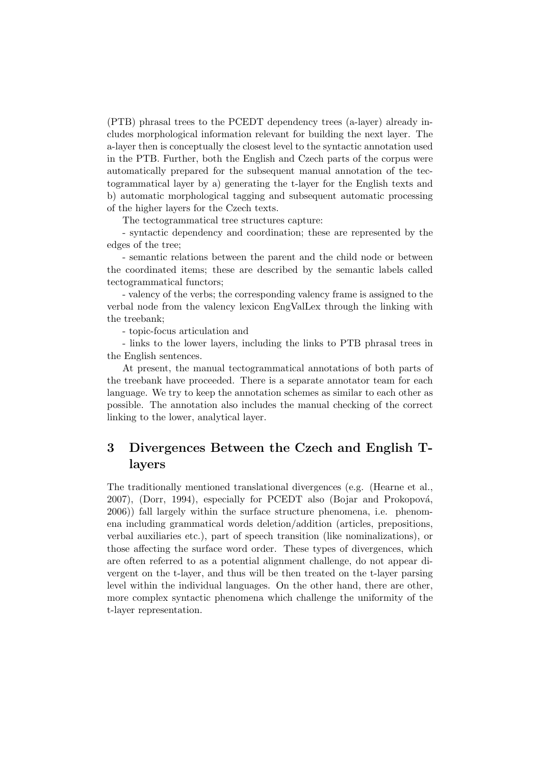(PTB) phrasal trees to the PCEDT dependency trees (a-layer) already includes morphological information relevant for building the next layer. The a-layer then is conceptually the closest level to the syntactic annotation used in the PTB. Further, both the English and Czech parts of the corpus were automatically prepared for the subsequent manual annotation of the tectogrammatical layer by a) generating the t-layer for the English texts and b) automatic morphological tagging and subsequent automatic processing of the higher layers for the Czech texts.

The tectogrammatical tree structures capture:

- syntactic dependency and coordination; these are represented by the edges of the tree;

- semantic relations between the parent and the child node or between the coordinated items; these are described by the semantic labels called tectogrammatical functors;

- valency of the verbs; the corresponding valency frame is assigned to the verbal node from the valency lexicon EngValLex through the linking with the treebank;

- topic-focus articulation and

- links to the lower layers, including the links to PTB phrasal trees in the English sentences.

At present, the manual tectogrammatical annotations of both parts of the treebank have proceeded. There is a separate annotator team for each language. We try to keep the annotation schemes as similar to each other as possible. The annotation also includes the manual checking of the correct linking to the lower, analytical layer.

# 3 Divergences Between the Czech and English Tlayers

The traditionally mentioned translational divergences (e.g. (Hearne et al., 2007), (Dorr, 1994), especially for PCEDT also (Bojar and Prokopová, 2006)) fall largely within the surface structure phenomena, i.e. phenomena including grammatical words deletion/addition (articles, prepositions, verbal auxiliaries etc.), part of speech transition (like nominalizations), or those affecting the surface word order. These types of divergences, which are often referred to as a potential alignment challenge, do not appear divergent on the t-layer, and thus will be then treated on the t-layer parsing level within the individual languages. On the other hand, there are other, more complex syntactic phenomena which challenge the uniformity of the t-layer representation.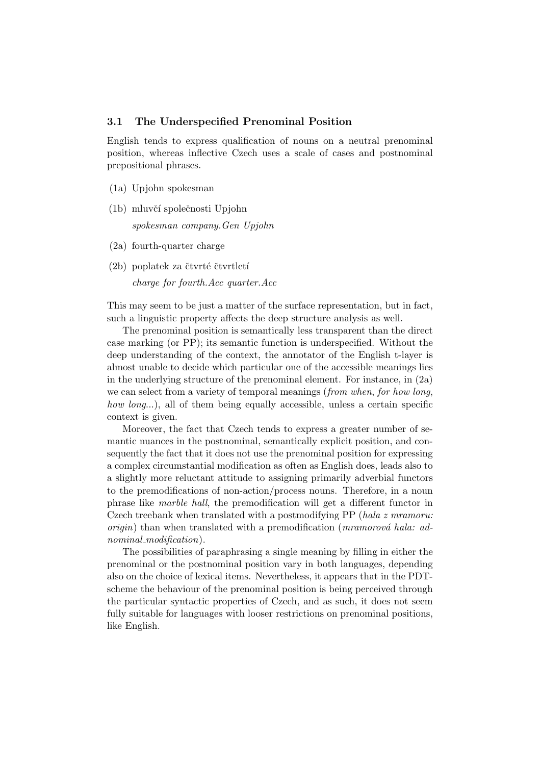#### 3.1 The Underspecified Prenominal Position

English tends to express qualification of nouns on a neutral prenominal position, whereas inflective Czech uses a scale of cases and postnominal prepositional phrases.

- (1a) Upjohn spokesman
- (1b) mluvčí společnosti Upjohn spokesman company.Gen Upjohn
- (2a) fourth-quarter charge
- $(2b)$  poplatek za čtvrté čtvrtletí

charge for fourth.Acc quarter.Acc

This may seem to be just a matter of the surface representation, but in fact, such a linguistic property affects the deep structure analysis as well.

The prenominal position is semantically less transparent than the direct case marking (or PP); its semantic function is underspecified. Without the deep understanding of the context, the annotator of the English t-layer is almost unable to decide which particular one of the accessible meanings lies in the underlying structure of the prenominal element. For instance, in (2a) we can select from a variety of temporal meanings (*from when, for how long*, how long...), all of them being equally accessible, unless a certain specific context is given.

Moreover, the fact that Czech tends to express a greater number of semantic nuances in the postnominal, semantically explicit position, and consequently the fact that it does not use the prenominal position for expressing a complex circumstantial modification as often as English does, leads also to a slightly more reluctant attitude to assigning primarily adverbial functors to the premodifications of non-action/process nouns. Therefore, in a noun phrase like marble hall, the premodification will get a different functor in Czech treebank when translated with a postmodifying PP (hala z mramoru:  $origin)$  than when translated with a premodification (*mramorová hala: ad*nominal\_modification).

The possibilities of paraphrasing a single meaning by filling in either the prenominal or the postnominal position vary in both languages, depending also on the choice of lexical items. Nevertheless, it appears that in the PDTscheme the behaviour of the prenominal position is being perceived through the particular syntactic properties of Czech, and as such, it does not seem fully suitable for languages with looser restrictions on prenominal positions, like English.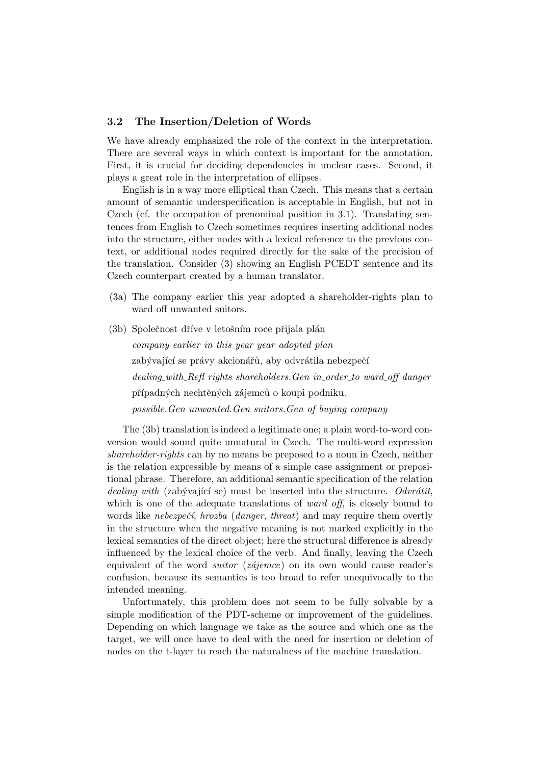#### 3.2 The Insertion/Deletion of Words

We have already emphasized the role of the context in the interpretation. There are several ways in which context is important for the annotation. First, it is crucial for deciding dependencies in unclear cases. Second, it plays a great role in the interpretation of ellipses.

English is in a way more elliptical than Czech. This means that a certain amount of semantic underspecification is acceptable in English, but not in Czech (cf. the occupation of prenominal position in 3.1). Translating sentences from English to Czech sometimes requires inserting additional nodes into the structure, either nodes with a lexical reference to the previous context, or additional nodes required directly for the sake of the precision of the translation. Consider (3) showing an English PCEDT sentence and its Czech counterpart created by a human translator.

- (3a) The company earlier this year adopted a shareholder-rights plan to ward off unwanted suitors.
- (3b) Společnost dříve v letošním roce přijala plán company earlier in this year year adopted plan zabývající se právy akcionářů, aby odvrátila nebezpečí dealing with Refl rights shareholders. Gen in order to ward off danger případných nechtěných zájemců o koupi podniku. possible.Gen unwanted.Gen suitors.Gen of buying company

The (3b) translation is indeed a legitimate one; a plain word-to-word conversion would sound quite unnatural in Czech. The multi-word expression shareholder-rights can by no means be preposed to a noun in Czech, neither is the relation expressible by means of a simple case assignment or prepositional phrase. Therefore, an additional semantic specification of the relation dealing with (zabývající se) must be inserted into the structure. Odvrátit, which is one of the adequate translations of *ward off*, is closely bound to words like nebezpečí, hrozba (danger, threat) and may require them overtly in the structure when the negative meaning is not marked explicitly in the lexical semantics of the direct object; here the structural difference is already influenced by the lexical choice of the verb. And finally, leaving the Czech equivalent of the word *suitor* ( $zájemce$ ) on its own would cause reader's confusion, because its semantics is too broad to refer unequivocally to the intended meaning.

Unfortunately, this problem does not seem to be fully solvable by a simple modification of the PDT-scheme or improvement of the guidelines. Depending on which language we take as the source and which one as the target, we will once have to deal with the need for insertion or deletion of nodes on the t-layer to reach the naturalness of the machine translation.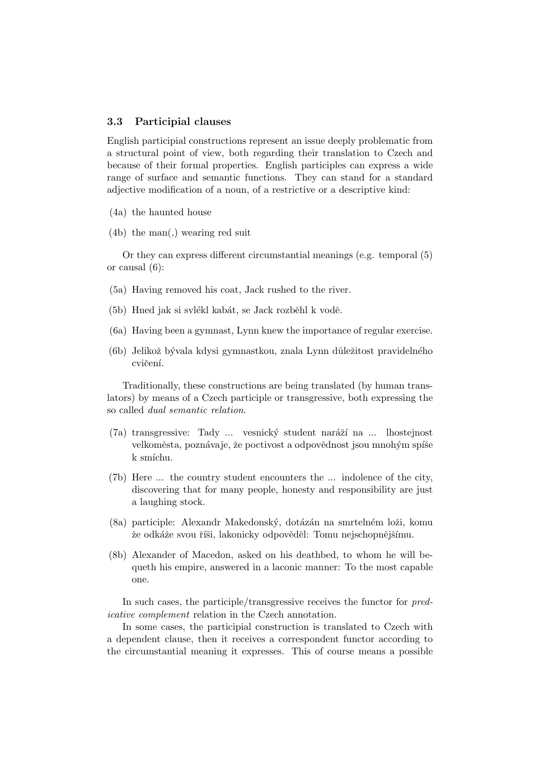#### 3.3 Participial clauses

English participial constructions represent an issue deeply problematic from a structural point of view, both regarding their translation to Czech and because of their formal properties. English participles can express a wide range of surface and semantic functions. They can stand for a standard adjective modification of a noun, of a restrictive or a descriptive kind:

- (4a) the haunted house
- (4b) the man(,) wearing red suit

Or they can express different circumstantial meanings (e.g. temporal (5) or causal (6):

- (5a) Having removed his coat, Jack rushed to the river.
- (5b) Hned jak si svlékl kabát, se Jack rozběhl k vodě.
- (6a) Having been a gymnast, Lynn knew the importance of regular exercise.
- (6b) Jelikož bývala kdysi gymnastkou, znala Lynn důležitost pravidelného cvičení.

Traditionally, these constructions are being translated (by human translators) by means of a Czech participle or transgressive, both expressing the so called dual semantic relation.

- (7a) transgressive: Tady ... vesnický student naráží na ... lhostejnost velkoměsta, poznávaje, že poctivost a odpovědnost jsou mnohým spíše k smíchu.
- (7b) Here ... the country student encounters the ... indolence of the city, discovering that for many people, honesty and responsibility are just a laughing stock.
- (8a) participle: Alexandr Makedonský, dotázán na smrtelném loži, komu že odkáže svou říši, lakonicky odpověděl: Tomu nejschopnějšímu.
- (8b) Alexander of Macedon, asked on his deathbed, to whom he will bequeth his empire, answered in a laconic manner: To the most capable one.

In such cases, the participle/transgressive receives the functor for predicative complement relation in the Czech annotation.

In some cases, the participial construction is translated to Czech with a dependent clause, then it receives a correspondent functor according to the circumstantial meaning it expresses. This of course means a possible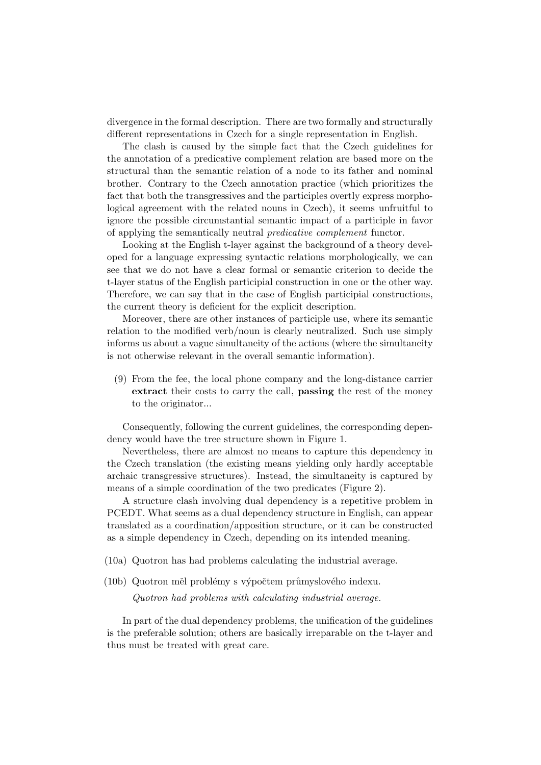divergence in the formal description. There are two formally and structurally different representations in Czech for a single representation in English.

The clash is caused by the simple fact that the Czech guidelines for the annotation of a predicative complement relation are based more on the structural than the semantic relation of a node to its father and nominal brother. Contrary to the Czech annotation practice (which prioritizes the fact that both the transgressives and the participles overtly express morphological agreement with the related nouns in Czech), it seems unfruitful to ignore the possible circumstantial semantic impact of a participle in favor of applying the semantically neutral predicative complement functor.

Looking at the English t-layer against the background of a theory developed for a language expressing syntactic relations morphologically, we can see that we do not have a clear formal or semantic criterion to decide the t-layer status of the English participial construction in one or the other way. Therefore, we can say that in the case of English participial constructions, the current theory is deficient for the explicit description.

Moreover, there are other instances of participle use, where its semantic relation to the modified verb/noun is clearly neutralized. Such use simply informs us about a vague simultaneity of the actions (where the simultaneity is not otherwise relevant in the overall semantic information).

(9) From the fee, the local phone company and the long-distance carrier extract their costs to carry the call, passing the rest of the money to the originator...

Consequently, following the current guidelines, the corresponding dependency would have the tree structure shown in Figure 1.

Nevertheless, there are almost no means to capture this dependency in the Czech translation (the existing means yielding only hardly acceptable archaic transgressive structures). Instead, the simultaneity is captured by means of a simple coordination of the two predicates (Figure 2).

A structure clash involving dual dependency is a repetitive problem in PCEDT. What seems as a dual dependency structure in English, can appear translated as a coordination/apposition structure, or it can be constructed as a simple dependency in Czech, depending on its intended meaning.

(10a) Quotron has had problems calculating the industrial average.

(10b) Quotron měl problémy s výpočtem průmyslového indexu.

Quotron had problems with calculating industrial average.

In part of the dual dependency problems, the unification of the guidelines is the preferable solution; others are basically irreparable on the t-layer and thus must be treated with great care.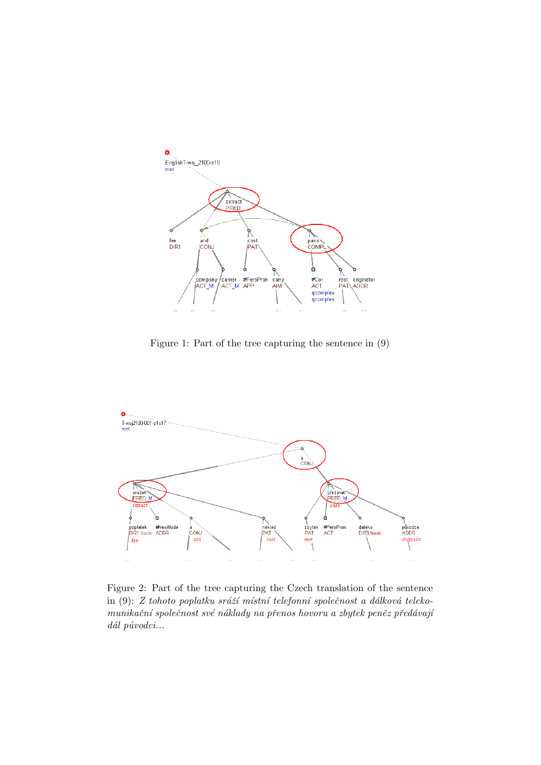

Figure 1: Part of the tree capturing the sentence in (9)



Figure 2: Part of the tree capturing the Czech translation of the sentence in  $(9)$ : Z tohoto poplatku sráží místní telefonní společnost a dálková telekomunikační společnost své náklady na přenos hovoru a zbytek peněz předávají  $d\acute{a}l$  původci...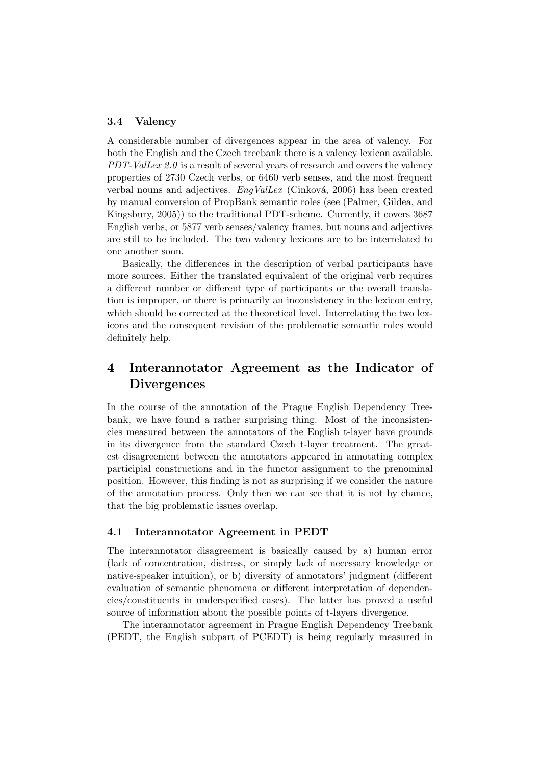#### 3.4 Valency

A considerable number of divergences appear in the area of valency. For both the English and the Czech treebank there is a valency lexicon available. PDT-ValLex 2.0 is a result of several years of research and covers the valency properties of 2730 Czech verbs, or 6460 verb senses, and the most frequent verbal nouns and adjectives.  $EngValLex$  (Cinková, 2006) has been created by manual conversion of PropBank semantic roles (see (Palmer, Gildea, and Kingsbury, 2005)) to the traditional PDT-scheme. Currently, it covers 3687 English verbs, or 5877 verb senses/valency frames, but nouns and adjectives are still to be included. The two valency lexicons are to be interrelated to one another soon.

Basically, the differences in the description of verbal participants have more sources. Either the translated equivalent of the original verb requires a different number or different type of participants or the overall translation is improper, or there is primarily an inconsistency in the lexicon entry, which should be corrected at the theoretical level. Interrelating the two lexicons and the consequent revision of the problematic semantic roles would definitely help.

# 4 Interannotator Agreement as the Indicator of Divergences

In the course of the annotation of the Prague English Dependency Treebank, we have found a rather surprising thing. Most of the inconsistencies measured between the annotators of the English t-layer have grounds in its divergence from the standard Czech t-layer treatment. The greatest disagreement between the annotators appeared in annotating complex participial constructions and in the functor assignment to the prenominal position. However, this finding is not as surprising if we consider the nature of the annotation process. Only then we can see that it is not by chance, that the big problematic issues overlap.

#### 4.1 Interannotator Agreement in PEDT

The interannotator disagreement is basically caused by a) human error (lack of concentration, distress, or simply lack of necessary knowledge or native-speaker intuition), or b) diversity of annotators' judgment (different evaluation of semantic phenomena or different interpretation of dependencies/constituents in underspecified cases). The latter has proved a useful source of information about the possible points of t-layers divergence.

The interannotator agreement in Prague English Dependency Treebank (PEDT, the English subpart of PCEDT) is being regularly measured in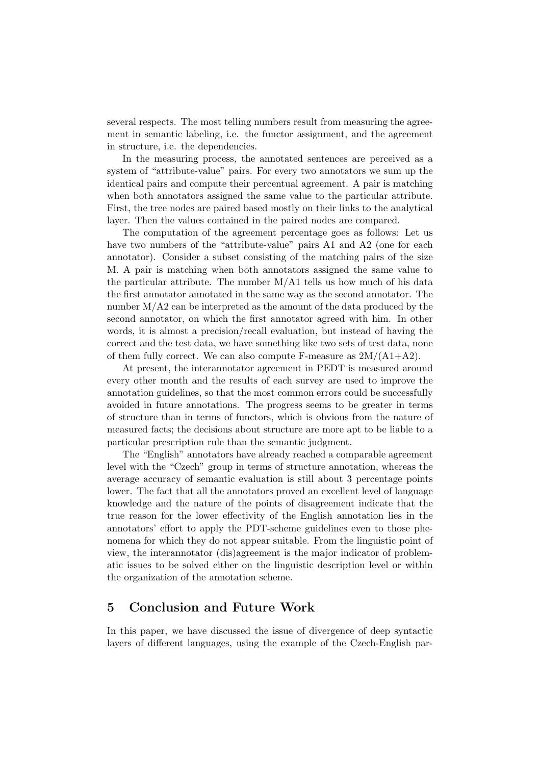several respects. The most telling numbers result from measuring the agreement in semantic labeling, i.e. the functor assignment, and the agreement in structure, i.e. the dependencies.

In the measuring process, the annotated sentences are perceived as a system of "attribute-value" pairs. For every two annotators we sum up the identical pairs and compute their percentual agreement. A pair is matching when both annotators assigned the same value to the particular attribute. First, the tree nodes are paired based mostly on their links to the analytical layer. Then the values contained in the paired nodes are compared.

The computation of the agreement percentage goes as follows: Let us have two numbers of the "attribute-value" pairs A1 and A2 (one for each annotator). Consider a subset consisting of the matching pairs of the size M. A pair is matching when both annotators assigned the same value to the particular attribute. The number  $M/A1$  tells us how much of his data the first annotator annotated in the same way as the second annotator. The number M/A2 can be interpreted as the amount of the data produced by the second annotator, on which the first annotator agreed with him. In other words, it is almost a precision/recall evaluation, but instead of having the correct and the test data, we have something like two sets of test data, none of them fully correct. We can also compute F-measure as  $2M/(A1+A2)$ .

At present, the interannotator agreement in PEDT is measured around every other month and the results of each survey are used to improve the annotation guidelines, so that the most common errors could be successfully avoided in future annotations. The progress seems to be greater in terms of structure than in terms of functors, which is obvious from the nature of measured facts; the decisions about structure are more apt to be liable to a particular prescription rule than the semantic judgment.

The "English" annotators have already reached a comparable agreement level with the "Czech" group in terms of structure annotation, whereas the average accuracy of semantic evaluation is still about 3 percentage points lower. The fact that all the annotators proved an excellent level of language knowledge and the nature of the points of disagreement indicate that the true reason for the lower effectivity of the English annotation lies in the annotators' effort to apply the PDT-scheme guidelines even to those phenomena for which they do not appear suitable. From the linguistic point of view, the interannotator (dis)agreement is the major indicator of problematic issues to be solved either on the linguistic description level or within the organization of the annotation scheme.

### 5 Conclusion and Future Work

In this paper, we have discussed the issue of divergence of deep syntactic layers of different languages, using the example of the Czech-English par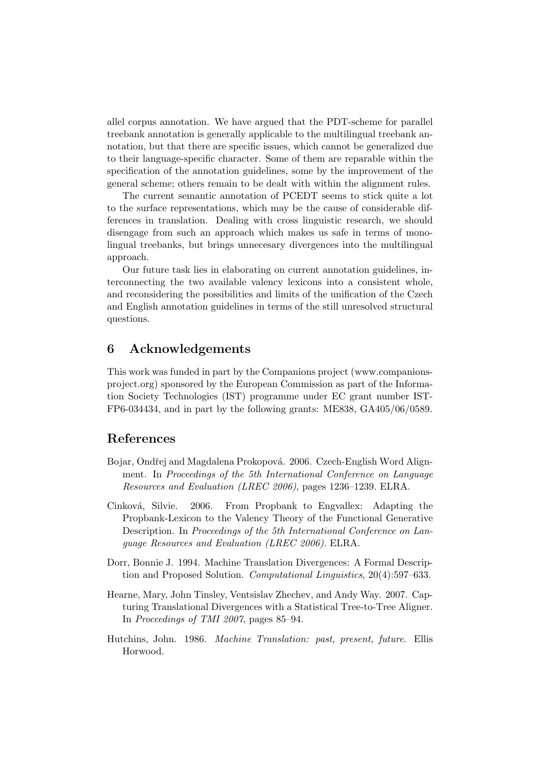allel corpus annotation. We have argued that the PDT-scheme for parallel treebank annotation is generally applicable to the multilingual treebank annotation, but that there are specific issues, which cannot be generalized due to their language-specific character. Some of them are reparable within the specification of the annotation guidelines, some by the improvement of the general scheme; others remain to be dealt with within the alignment rules.

The current semantic annotation of PCEDT seems to stick quite a lot to the surface representations, which may be the cause of considerable differences in translation. Dealing with cross linguistic research, we should disengage from such an approach which makes us safe in terms of monolingual treebanks, but brings unnecesary divergences into the multilingual approach.

Our future task lies in elaborating on current annotation guidelines, interconnecting the two available valency lexicons into a consistent whole, and reconsidering the possibilities and limits of the unification of the Czech and English annotation guidelines in terms of the still unresolved structural questions.

# 6 Acknowledgements

This work was funded in part by the Companions project (www.companionsproject.org) sponsored by the European Commission as part of the Information Society Technologies (IST) programme under EC grant number IST-FP6-034434, and in part by the following grants: ME838, GA405/06/0589.

# References

- Bojar, Ondřej and Magdalena Prokopová. 2006. Czech-English Word Alignment. In Proceedings of the 5th International Conference on Language Resources and Evaluation (LREC 2006), pages 1236–1239. ELRA.
- Cinková, Silvie. 2006. From Propbank to Engvallex: Adapting the Propbank-Lexicon to the Valency Theory of the Functional Generative Description. In Proceedings of the 5th International Conference on Language Resources and Evaluation (LREC 2006). ELRA.
- Dorr, Bonnie J. 1994. Machine Translation Divergences: A Formal Description and Proposed Solution. Computational Linguistics, 20(4):597–633.
- Hearne, Mary, John Tinsley, Ventsislav Zhechev, and Andy Way. 2007. Capturing Translational Divergences with a Statistical Tree-to-Tree Aligner. In Proceedings of TMI 2007, pages 85–94.
- Hutchins, John. 1986. Machine Translation: past, present, future. Ellis Horwood.